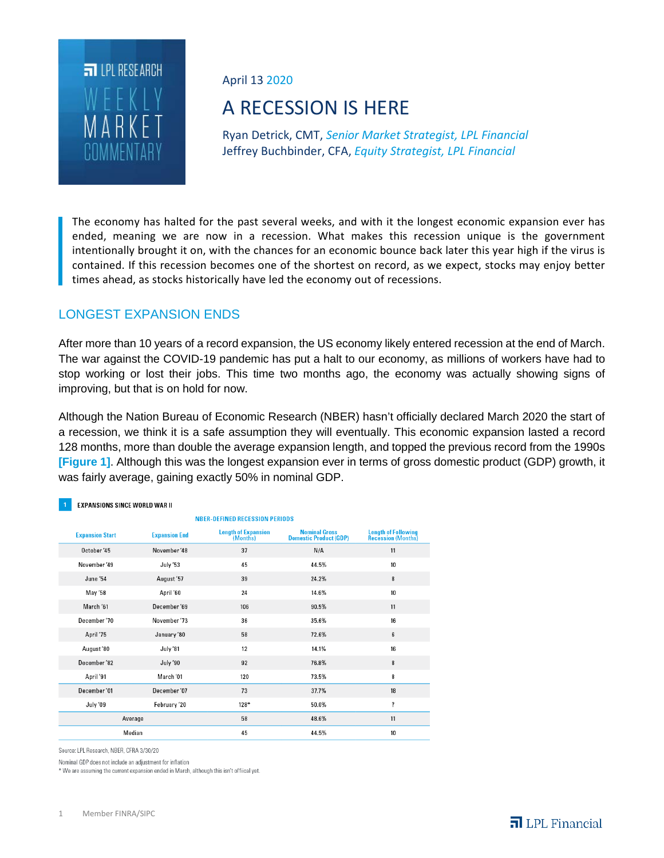

April 13 2020

# A RECESSION IS HERE

Ryan Detrick, CMT, *Senior Market Strategist, LPL Financial* Jeffrey Buchbinder, CFA, *Equity Strategist, LPL Financial*

The economy has halted for the past several weeks, and with it the longest economic expansion ever has ended, meaning we are now in a recession. What makes this recession unique is the government intentionally brought it on, with the chances for an economic bounce back later this year high if the virus is contained. If this recession becomes one of the shortest on record, as we expect, stocks may enjoy better times ahead, as stocks historically have led the economy out of recessions.

# LONGEST EXPANSION ENDS

After more than 10 years of a record expansion, the US economy likely entered recession at the end of March. The war against the COVID-19 pandemic has put a halt to our economy, as millions of workers have had to stop working or lost their jobs. This time two months ago, the economy was actually showing signs of improving, but that is on hold for now.

Although the Nation Bureau of Economic Research (NBER) hasn't officially declared March 2020 the start of a recession, we think it is a safe assumption they will eventually. This economic expansion lasted a record 128 months, more than double the average expansion length, and topped the previous record from the 1990s **[Figure 1]**. Although this was the longest expansion ever in terms of gross domestic product (GDP) growth, it was fairly average, gaining exactly 50% in nominal GDP.

#### **EXPANSIONS SINCE WORLD WAR II**

| <b>NBER-DEFINED RECESSION PERIODS</b>          |              |                                        |                                                       |                                                   |  |  |  |  |
|------------------------------------------------|--------------|----------------------------------------|-------------------------------------------------------|---------------------------------------------------|--|--|--|--|
| <b>Expansion Start</b><br><b>Expansion End</b> |              | <b>Length of Expansion</b><br>(Months) | <b>Nominal Gross</b><br><b>Domestic Product (GDP)</b> | <b>Length of Following<br/>Recession (Months)</b> |  |  |  |  |
| October '45                                    | November '48 | 37                                     | N/A                                                   | 11                                                |  |  |  |  |
| November '49                                   | July '53     | 45                                     | 44.5%                                                 | 10                                                |  |  |  |  |
| June '54                                       | August '57   | 39                                     | 24.2%                                                 | 8                                                 |  |  |  |  |
| May '58                                        | April '60    | 24                                     | 14.6%                                                 | 10                                                |  |  |  |  |
| March '61                                      | December '69 | 106                                    | 90.5%                                                 | 11                                                |  |  |  |  |
| December '70                                   | November '73 | 36                                     | 35.6%                                                 | 16                                                |  |  |  |  |
| April '75                                      | January '80  | 58                                     | 72.6%                                                 | 6                                                 |  |  |  |  |
| August'80                                      | July '81     | 12                                     | 14.1%                                                 | 16                                                |  |  |  |  |
| December '82                                   | July '90     | 92                                     | 76.8%                                                 | 8                                                 |  |  |  |  |
| April '91                                      | March '01    | 120                                    | 73.5%                                                 | 8                                                 |  |  |  |  |
| December'01                                    | December '07 | 73                                     | 37.7%                                                 | 18                                                |  |  |  |  |
| July '09                                       | February '20 | $128*$                                 | 50.0%                                                 | $\overline{\mathbf{?}}$                           |  |  |  |  |
| Average                                        |              | 58                                     | 48.6%                                                 | 11                                                |  |  |  |  |
| Median                                         |              | 45                                     | 44.5%                                                 | 10                                                |  |  |  |  |

Source: LPL Research, NBER, CFRA 3/30/20

Nominal GDP does not include an adjustment for inflation

\* We are assuming the current expansion ended in March, although this isn't offiical yet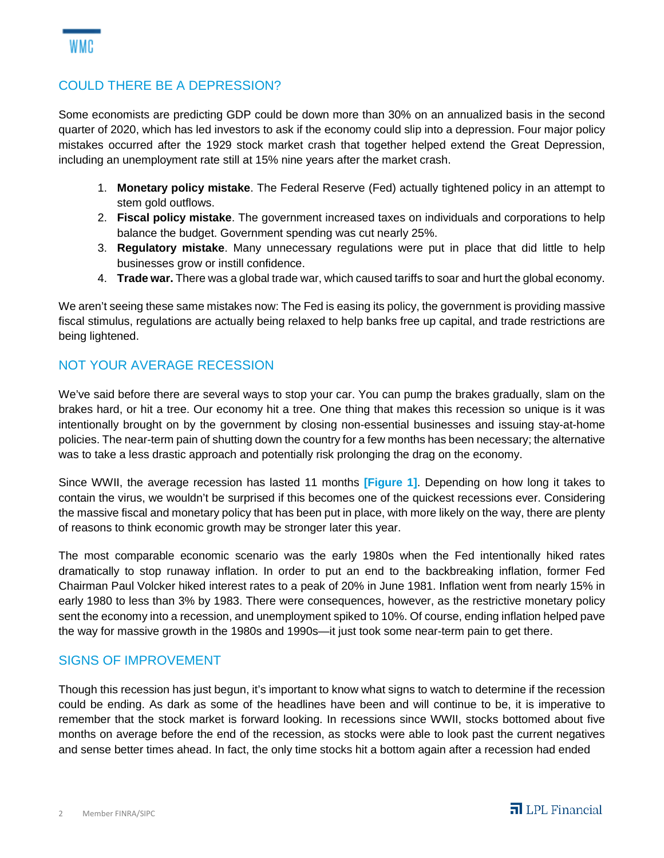# COULD THERE BE A DEPRESSION?

Some economists are predicting GDP could be down more than 30% on an annualized basis in the second quarter of 2020, which has led investors to ask if the economy could slip into a depression. Four major policy mistakes occurred after the 1929 stock market crash that together helped extend the Great Depression, including an unemployment rate still at 15% nine years after the market crash.

- 1. **Monetary policy mistake**. The Federal Reserve (Fed) actually tightened policy in an attempt to stem gold outflows.
- 2. **Fiscal policy mistake**. The government increased taxes on individuals and corporations to help balance the budget. Government spending was cut nearly 25%.
- 3. **Regulatory mistake**. Many unnecessary regulations were put in place that did little to help businesses grow or instill confidence.
- 4. **Trade war.** There was a global trade war, which caused tariffs to soar and hurt the global economy.

We aren't seeing these same mistakes now: The Fed is easing its policy, the government is providing massive fiscal stimulus, regulations are actually being relaxed to help banks free up capital, and trade restrictions are being lightened.

# NOT YOUR AVERAGE RECESSION

We've said before there are several ways to stop your car. You can pump the brakes gradually, slam on the brakes hard, or hit a tree. Our economy hit a tree. One thing that makes this recession so unique is it was intentionally brought on by the government by closing non-essential businesses and issuing stay-at-home policies. The near-term pain of shutting down the country for a few months has been necessary; the alternative was to take a less drastic approach and potentially risk prolonging the drag on the economy.

Since WWII, the average recession has lasted 11 months **[Figure 1]**. Depending on how long it takes to contain the virus, we wouldn't be surprised if this becomes one of the quickest recessions ever. Considering the massive fiscal and monetary policy that has been put in place, with more likely on the way, there are plenty of reasons to think economic growth may be stronger later this year.

The most comparable economic scenario was the early 1980s when the Fed intentionally hiked rates dramatically to stop runaway inflation. In order to put an end to the backbreaking inflation, former Fed Chairman Paul Volcker hiked interest rates to a peak of 20% in June 1981. Inflation went from nearly 15% in early 1980 to less than 3% by 1983. There were consequences, however, as the restrictive monetary policy sent the economy into a recession, and unemployment spiked to 10%. Of course, ending inflation helped pave the way for massive growth in the 1980s and 1990s—it just took some near-term pain to get there.

### SIGNS OF IMPROVEMENT

Though this recession has just begun, it's important to know what signs to watch to determine if the recession could be ending. As dark as some of the headlines have been and will continue to be, it is imperative to remember that the stock market is forward looking. In recessions since WWII, stocks bottomed about five months on average before the end of the recession, as stocks were able to look past the current negatives and sense better times ahead. In fact, the only time stocks hit a bottom again after a recession had ended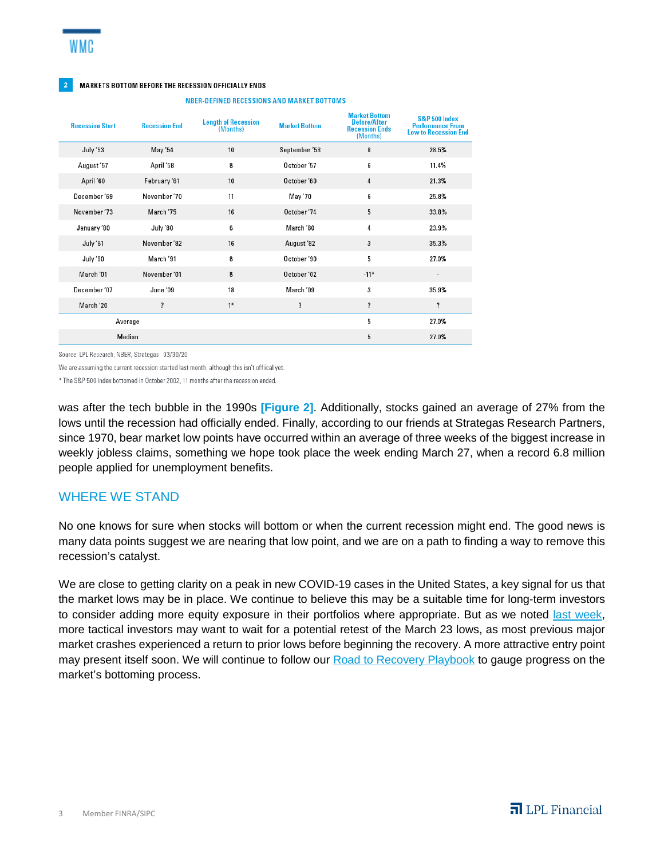#### 2 MARKETS BOTTOM BEFORE THE RECESSION OFFICIALLY ENDS

| <b>Recession Start</b> | <b>Recession End</b> | <b>Length of Recession</b><br>(Months) | <b>Market Bottom</b>    | <b>Market Bottom</b><br><b>Before/After</b><br><b>Recession Ends</b><br>(Months) | S&P 500 Index<br><b>Performance From</b><br><b>Low to Recession End</b> |
|------------------------|----------------------|----------------------------------------|-------------------------|----------------------------------------------------------------------------------|-------------------------------------------------------------------------|
| July '53               | May '54              | 10                                     | September '53           | 8                                                                                | 28.5%                                                                   |
| August'57              | April '58            | 8                                      | October '57             | 6                                                                                | 11.4%                                                                   |
| April '60              | February '61         | 10                                     | October '60             | 4                                                                                | 21.3%                                                                   |
| December'69            | November '70         | 11                                     | May '70                 | 6                                                                                | 25.8%                                                                   |
| November '73           | March '75            | 16                                     | October '74             | 5                                                                                | 33.8%                                                                   |
| January '80            | July '80             | 6                                      | March '80               | 4                                                                                | 23.9%                                                                   |
| July '81               | November '82         | 16                                     | August '82              | 3                                                                                | 35.3%                                                                   |
| July '90               | March '91            | 8                                      | October '90             | 5                                                                                | 27.0%                                                                   |
| March '01              | November '01         | 8                                      | October '02             | $-11*$                                                                           | $\blacksquare$                                                          |
| December'07            | June '09             | 18                                     | March '09               | 3                                                                                | 35.9%                                                                   |
| March '20              | ?                    | $1*$                                   | $\overline{\mathbf{?}}$ | $\overline{\mathbf{?}}$                                                          | ?                                                                       |
| Average                |                      |                                        |                         | 5                                                                                | 27.0%                                                                   |
| Median                 |                      |                                        |                         | 5                                                                                | 27.0%                                                                   |

**NBER-DEFINED RECESSIONS AND MARKET BOTTOMS** 

Source: LPL Research, NBER, Strategas 03/30/20

We are assuming the current recession started last month, although this isn't offiical vet.

\* The S&P 500 Index bottomed in October 2002, 11 months after the recession ended.

was after the tech bubble in the 1990s **[Figure 2]**. Additionally, stocks gained an average of 27% from the lows until the recession had officially ended. Finally, according to our friends at Strategas Research Partners, since 1970, bear market low points have occurred within an average of three weeks of the biggest increase in weekly jobless claims, something we hope took place the week ending March 27, when a record 6.8 million people applied for unemployment benefits.

### WHERE WE STAND

No one knows for sure when stocks will bottom or when the current recession might end. The good news is many data points suggest we are nearing that low point, and we are on a path to finding a way to remove this recession's catalyst.

We are close to getting clarity on a peak in new COVID-19 cases in the United States, a key signal for us that the market lows may be in place. We continue to believe this may be a suitable time for long-term investors to consider adding more equity exposure in their portfolios where appropriate. But as we noted last week, more tactical investors may want to wait for a potential retest of the March 23 lows, as most previous major market crashes experienced a return to prior lows before beginning the recovery. A more attractive entry point may present itself soon. We will continue to follow our **Road to Recovery Playbook** to gauge progress on the market's bottoming process.